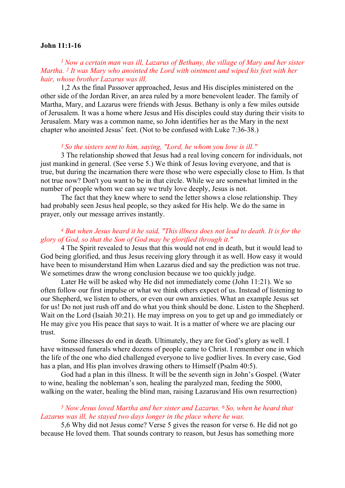#### John 11:1-16

# <sup>1</sup> Now a certain man was ill, Lazarus of Bethany, the village of Mary and her sister Martha. <sup>2</sup> It was Mary who anointed the Lord with ointment and wiped his feet with her hair, whose brother Lazarus was ill.

1,2 As the final Passover approached, Jesus and His disciples ministered on the other side of the Jordan River, an area ruled by a more benevolent leader. The family of Martha, Mary, and Lazarus were friends with Jesus. Bethany is only a few miles outside of Jerusalem. It was a home where Jesus and His disciples could stay during their visits to Jerusalem. Mary was a common name, so John identifies her as the Mary in the next chapter who anointed Jesus' feet. (Not to be confused with Luke 7:36-38.)

#### <sup>3</sup> So the sisters sent to him, saying, "Lord, he whom you love is ill."

3 The relationship showed that Jesus had a real loving concern for individuals, not just mankind in general. (See verse 5.) We think of Jesus loving everyone, and that is true, but during the incarnation there were those who were especially close to Him. Is that not true now? Don't you want to be in that circle. While we are somewhat limited in the number of people whom we can say we truly love deeply, Jesus is not.

 The fact that they knew where to send the letter shows a close relationship. They had probably seen Jesus heal people, so they asked for His help. We do the same in prayer, only our message arrives instantly.

### <sup>4</sup> But when Jesus heard it he said, "This illness does not lead to death. It is for the glory of God, so that the Son of God may be glorified through it."

4 The Spirit revealed to Jesus that this would not end in death, but it would lead to God being glorified, and thus Jesus receiving glory through it as well. How easy it would have been to misunderstand Him when Lazarus died and say the prediction was not true. We sometimes draw the wrong conclusion because we too quickly judge.

 Later He will be asked why He did not immediately come (John 11:21). We so often follow our first impulse or what we think others expect of us. Instead of listening to our Shepherd, we listen to others, or even our own anxieties. What an example Jesus set for us! Do not just rush off and do what you think should be done. Listen to the Shepherd. Wait on the Lord (Isaiah 30:21). He may impress on you to get up and go immediately or He may give you His peace that says to wait. It is a matter of where we are placing our trust.

Some illnesses do end in death. Ultimately, they are for God's glory as well. I have witnessed funerals where dozens of people came to Christ. I remember one in which the life of the one who died challenged everyone to live godlier lives. In every case, God has a plan, and His plan involves drawing others to Himself (Psalm 40:5).

God had a plan in this illness. It will be the seventh sign in John's Gospel. (Water to wine, healing the nobleman's son, healing the paralyzed man, feeding the 5000, walking on the water, healing the blind man, raising Lazarus/and His own resurrection)

### <sup>5</sup> Now Jesus loved Martha and her sister and Lazarus. 6 So, when he heard that Lazarus was ill, he stayed two days longer in the place where he was.

5,6 Why did not Jesus come? Verse 5 gives the reason for verse 6. He did not go because He loved them. That sounds contrary to reason, but Jesus has something more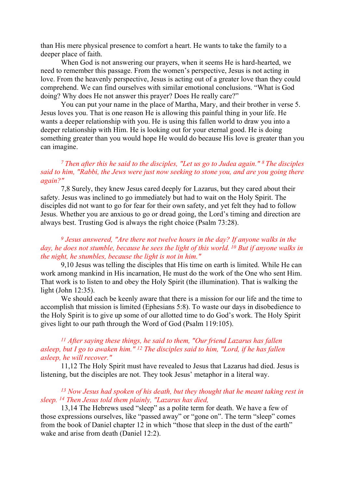than His mere physical presence to comfort a heart. He wants to take the family to a deeper place of faith.

When God is not answering our prayers, when it seems He is hard-hearted, we need to remember this passage. From the women's perspective, Jesus is not acting in love. From the heavenly perspective, Jesus is acting out of a greater love than they could comprehend. We can find ourselves with similar emotional conclusions. "What is God doing? Why does He not answer this prayer? Does He really care?"

You can put your name in the place of Martha, Mary, and their brother in verse 5. Jesus loves you. That is one reason He is allowing this painful thing in your life. He wants a deeper relationship with you. He is using this fallen world to draw you into a deeper relationship with Him. He is looking out for your eternal good. He is doing something greater than you would hope He would do because His love is greater than you can imagine.

# <sup>7</sup> Then after this he said to the disciples, "Let us go to Judea again."  $8$  The disciples said to him, "Rabbi, the Jews were just now seeking to stone you, and are you going there again?"

7,8 Surely, they knew Jesus cared deeply for Lazarus, but they cared about their safety. Jesus was inclined to go immediately but had to wait on the Holy Spirit. The disciples did not want to go for fear for their own safety, and yet felt they had to follow Jesus. Whether you are anxious to go or dread going, the Lord's timing and direction are always best. Trusting God is always the right choice (Psalm 73:28).

### <sup>9</sup> Jesus answered, "Are there not twelve hours in the day? If anyone walks in the day, he does not stumble, because he sees the light of this world. <sup>10</sup> But if anyone walks in the night, he stumbles, because the light is not in him."

9,10 Jesus was telling the disciples that His time on earth is limited. While He can work among mankind in His incarnation, He must do the work of the One who sent Him. That work is to listen to and obey the Holy Spirit (the illumination). That is walking the light (John 12:35).

We should each be keenly aware that there is a mission for our life and the time to accomplish that mission is limited (Ephesians 5:8). To waste our days in disobedience to the Holy Spirit is to give up some of our allotted time to do God's work. The Holy Spirit gives light to our path through the Word of God (Psalm 119:105).

# $11$  After saying these things, he said to them, "Our friend Lazarus has fallen asleep, but I go to awaken him."  $^{12}$  The disciples said to him, "Lord, if he has fallen asleep, he will recover."

11,12 The Holy Spirit must have revealed to Jesus that Lazarus had died. Jesus is listening, but the disciples are not. They took Jesus' metaphor in a literal way.

### <sup>13</sup> Now Jesus had spoken of his death, but they thought that he meant taking rest in sleep. 14 Then Jesus told them plainly, "Lazarus has died,

13,14 The Hebrews used "sleep" as a polite term for death. We have a few of those expressions ourselves, like "passed away" or "gone on". The term "sleep" comes from the book of Daniel chapter 12 in which "those that sleep in the dust of the earth" wake and arise from death (Daniel 12:2).